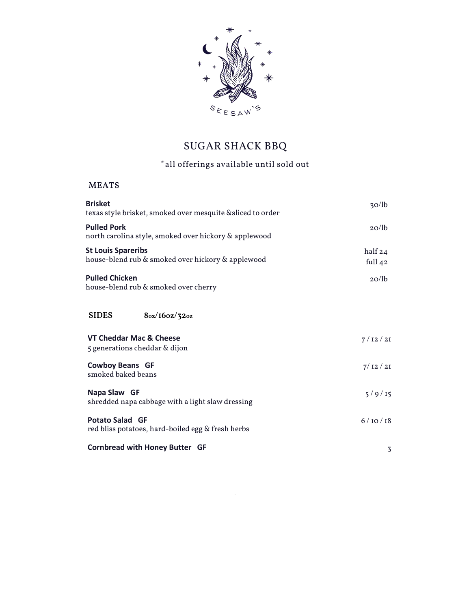

# SUGAR SHACK BBQ

## \*all offerings available until sold out

## **MEATS**

| <b>Brisket</b><br>texas style brisket, smoked over mesquite &sliced to order   | 30/lb                |
|--------------------------------------------------------------------------------|----------------------|
| <b>Pulled Pork</b><br>north carolina style, smoked over hickory & applewood    | 20/lb                |
| <b>St Louis Spareribs</b><br>house-blend rub & smoked over hickory & applewood | half 24<br>full $42$ |
| <b>Pulled Chicken</b><br>house-blend rub & smoked over cherry                  | 20/lb                |
| <b>SIDES</b><br>8oz/16oz/32oz                                                  |                      |
| VT Cheddar Mac & Cheese<br>5 generations cheddar & dijon                       | 7/12/21              |
| <b>Cowboy Beans GF</b><br>smoked baked beans                                   | 7/12/21              |
| Napa Slaw GF<br>shredded napa cabbage with a light slaw dressing               | 5/9/15               |
| <b>Potato Salad GF</b><br>red bliss potatoes, hard-boiled egg & fresh herbs    | 6/10/18              |
| <b>Cornbread with Honey Butter GF</b>                                          | 3                    |